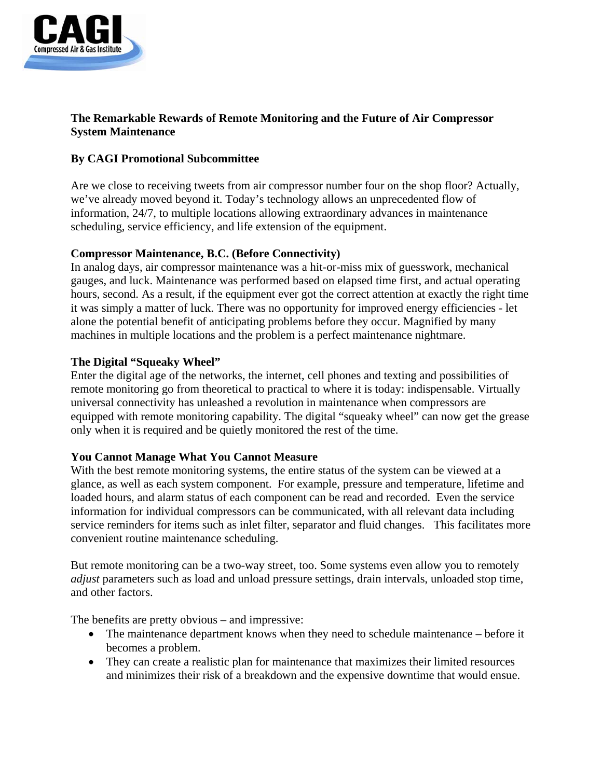

# **The Remarkable Rewards of Remote Monitoring and the Future of Air Compressor System Maintenance**

# **By CAGI Promotional Subcommittee**

Are we close to receiving tweets from air compressor number four on the shop floor? Actually, we've already moved beyond it. Today's technology allows an unprecedented flow of information, 24/7, to multiple locations allowing extraordinary advances in maintenance scheduling, service efficiency, and life extension of the equipment.

### **Compressor Maintenance, B.C. (Before Connectivity)**

In analog days, air compressor maintenance was a hit-or-miss mix of guesswork, mechanical gauges, and luck. Maintenance was performed based on elapsed time first, and actual operating hours, second. As a result, if the equipment ever got the correct attention at exactly the right time it was simply a matter of luck. There was no opportunity for improved energy efficiencies - let alone the potential benefit of anticipating problems before they occur. Magnified by many machines in multiple locations and the problem is a perfect maintenance nightmare.

# **The Digital "Squeaky Wheel"**

Enter the digital age of the networks, the internet, cell phones and texting and possibilities of remote monitoring go from theoretical to practical to where it is today: indispensable. Virtually universal connectivity has unleashed a revolution in maintenance when compressors are equipped with remote monitoring capability. The digital "squeaky wheel" can now get the grease only when it is required and be quietly monitored the rest of the time.

#### **You Cannot Manage What You Cannot Measure**

With the best remote monitoring systems, the entire status of the system can be viewed at a glance, as well as each system component. For example, pressure and temperature, lifetime and loaded hours, and alarm status of each component can be read and recorded. Even the service information for individual compressors can be communicated, with all relevant data including service reminders for items such as inlet filter, separator and fluid changes. This facilitates more convenient routine maintenance scheduling.

But remote monitoring can be a two-way street, too. Some systems even allow you to remotely *adjust* parameters such as load and unload pressure settings, drain intervals, unloaded stop time, and other factors.

The benefits are pretty obvious – and impressive:

- The maintenance department knows when they need to schedule maintenance before it becomes a problem.
- They can create a realistic plan for maintenance that maximizes their limited resources and minimizes their risk of a breakdown and the expensive downtime that would ensue.